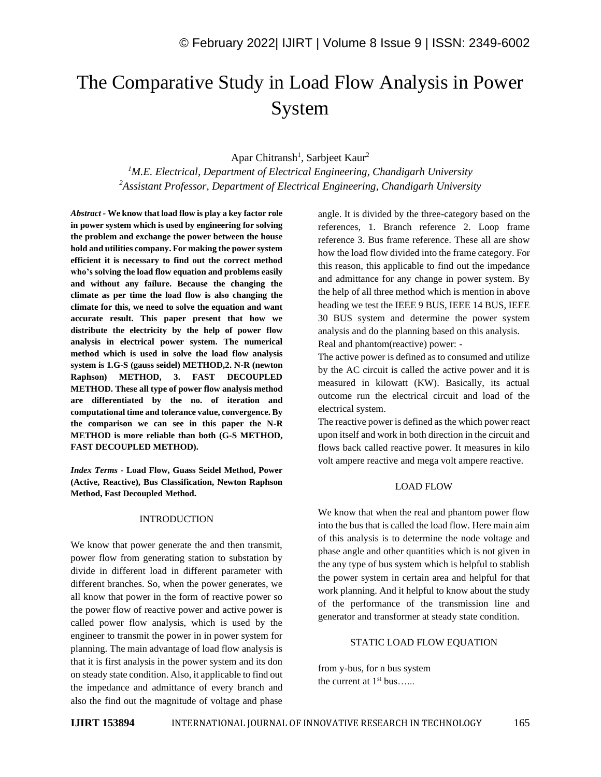# The Comparative Study in Load Flow Analysis in Power System

Apar Chitransh<sup>1</sup>, Sarbjeet Kaur<sup>2</sup>

*<sup>1</sup>M.E. Electrical, Department of Electrical Engineering, Chandigarh University <sup>2</sup>Assistant Professor, Department of Electrical Engineering, Chandigarh University*

*Abstract -* **We know that load flow is play a key factor role in power system which is used by engineering for solving the problem and exchange the power between the house hold and utilities company. For making the power system efficient it is necessary to find out the correct method who's solving the load flow equation and problems easily and without any failure. Because the changing the climate as per time the load flow is also changing the climate for this, we need to solve the equation and want accurate result. This paper present that how we distribute the electricity by the help of power flow analysis in electrical power system. The numerical method which is used in solve the load flow analysis system is 1.G-S (gauss seidel) METHOD,2. N-R (newton Raphson) METHOD, 3. FAST DECOUPLED METHOD. These all type of power flow analysis method are differentiated by the no. of iteration and computational time and tolerance value, convergence. By the comparison we can see in this paper the N-R METHOD is more reliable than both (G-S METHOD, FAST DECOUPLED METHOD).**

*Index Terms -* **Load Flow, Guass Seidel Method, Power (Active, Reactive), Bus Classification, Newton Raphson Method, Fast Decoupled Method.**

## INTRODUCTION

We know that power generate the and then transmit, power flow from generating station to substation by divide in different load in different parameter with different branches. So, when the power generates, we all know that power in the form of reactive power so the power flow of reactive power and active power is called power flow analysis, which is used by the engineer to transmit the power in in power system for planning. The main advantage of load flow analysis is that it is first analysis in the power system and its don on steady state condition. Also, it applicable to find out the impedance and admittance of every branch and also the find out the magnitude of voltage and phase

angle. It is divided by the three-category based on the references, 1. Branch reference 2. Loop frame reference 3. Bus frame reference. These all are show how the load flow divided into the frame category. For this reason, this applicable to find out the impedance and admittance for any change in power system. By the help of all three method which is mention in above heading we test the IEEE 9 BUS, IEEE 14 BUS, IEEE 30 BUS system and determine the power system analysis and do the planning based on this analysis. Real and phantom(reactive) power: -

The active power is defined as to consumed and utilize by the AC circuit is called the active power and it is measured in kilowatt (KW). Basically, its actual outcome run the electrical circuit and load of the electrical system.

The reactive power is defined as the which power react upon itself and work in both direction in the circuit and flows back called reactive power. It measures in kilo volt ampere reactive and mega volt ampere reactive.

#### LOAD FLOW

We know that when the real and phantom power flow into the bus that is called the load flow. Here main aim of this analysis is to determine the node voltage and phase angle and other quantities which is not given in the any type of bus system which is helpful to stablish the power system in certain area and helpful for that work planning. And it helpful to know about the study of the performance of the transmission line and generator and transformer at steady state condition.

## STATIC LOAD FLOW EQUATION

from y-bus, for n bus system the current at  $1<sup>st</sup>$  bus......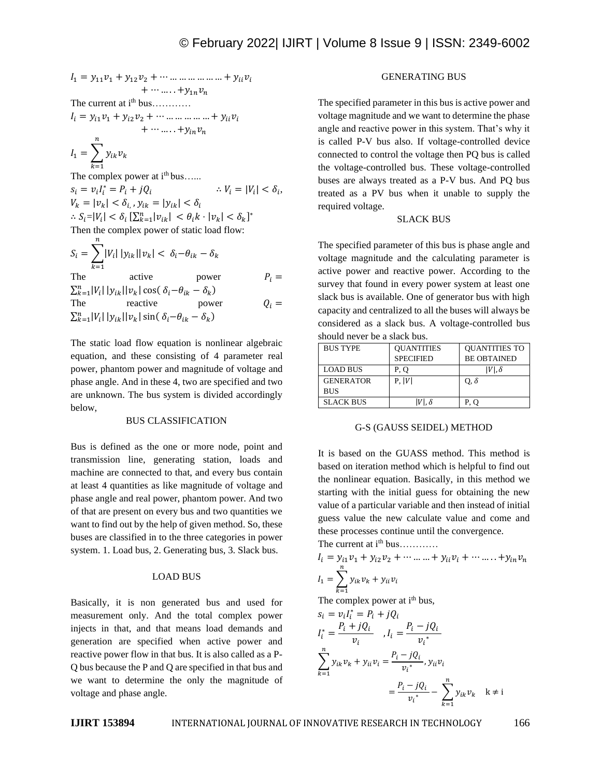$$
I_1 = y_{11}v_1 + y_{12}v_2 + \cdots \dots \dots \dots \dots \dots \dots + y_{ii}v_i
$$
  
+ \cdots \dots \dots + y\_{1n}v\_n

The current at i<sup>th</sup> bus…………

 $I_i = y_{i1}v_1 + y_{i2}v_2 + \cdots \dots \dots \dots \dots \dots + y_{ii}v_i$  $+ \cdots \ldots \cdots + y_{in} v_n$ 

 $I_1 = \sum y_{ik} v_k$  $\boldsymbol{n}$  $k=1$ 

The complex power at  $i<sup>th</sup>$  bus......  $s_i = v_i I_i^* = P_i + j Q_i$  $\therefore V_i = |V_i| < \delta_i,$  $|v_k| = |v_k| < \delta_{i,}, y_{ik} = |y_{ik}| < \delta_{i}$  $\therefore S_i = |V_i| < \delta_i \left[ \sum_{k=1}^n |v_{ik}| \right] < \theta_i k \cdot |v_k| < \delta_k \right]^*$ Then the complex power of static load flow:  $\boldsymbol{n}$ 

$$
S_i = \sum_{k=1} |V_i| |y_{ik}| |v_k| < \delta_i - \theta_{ik} - \delta_k
$$
\nThe active power 
$$
\sum_{k=1}^n |V_i| |y_{ik}| |v_k| \cos(\delta_i - \theta_{ik} - \delta_k)
$$
\nThe reactive power  $Q_i = \sum_{k=1}^n |V_i| |y_{ik}| |v_k| \sin(\delta_i - \theta_{ik} - \delta_k)$ 

The static load flow equation is nonlinear algebraic equation, and these consisting of 4 parameter real power, phantom power and magnitude of voltage and phase angle. And in these 4, two are specified and two are unknown. The bus system is divided accordingly below,

## BUS CLASSIFICATION

Bus is defined as the one or more node, point and transmission line, generating station, loads and machine are connected to that, and every bus contain at least 4 quantities as like magnitude of voltage and phase angle and real power, phantom power. And two of that are present on every bus and two quantities we want to find out by the help of given method. So, these buses are classified in to the three categories in power system. 1. Load bus, 2. Generating bus, 3. Slack bus.

# LOAD BUS

Basically, it is non generated bus and used for measurement only. And the total complex power injects in that, and that means load demands and generation are specified when active power and reactive power flow in that bus. It is also called as a P-Q bus because the P and Q are specified in that bus and we want to determine the only the magnitude of voltage and phase angle.

# GENERATING BUS

The specified parameter in this bus is active power and voltage magnitude and we want to determine the phase angle and reactive power in this system. That's why it is called P-V bus also. If voltage-controlled device connected to control the voltage then PQ bus is called the voltage-controlled bus. These voltage-controlled buses are always treated as a P-V bus. And PQ bus treated as a PV bus when it unable to supply the required voltage.

## SLACK BUS

The specified parameter of this bus is phase angle and voltage magnitude and the calculating parameter is active power and reactive power. According to the survey that found in every power system at least one slack bus is available. One of generator bus with high capacity and centralized to all the buses will always be considered as a slack bus. A voltage-controlled bus should never be a slack bus.

| <b>BUS TYPE</b>  | <b>OUANTITIES</b> | <b>OUANTITIES TO</b> |
|------------------|-------------------|----------------------|
|                  | <b>SPECIFIED</b>  | <b>BE OBTAINED</b>   |
| <b>LOAD BUS</b>  | P. O              | $ V $ . $\delta$     |
| <b>GENERATOR</b> | P,  V             | $O, \delta$          |
| <b>BUS</b>       |                   |                      |
| <b>SLACK BUS</b> | $ V $ . $\delta$  | P. O                 |

#### G-S (GAUSS SEIDEL) METHOD

It is based on the GUASS method. This method is based on iteration method which is helpful to find out the nonlinear equation. Basically, in this method we starting with the initial guess for obtaining the new value of a particular variable and then instead of initial guess value the new calculate value and come and these processes continue until the convergence.

The current at  $i<sup>th</sup> bus………$ 

$$
I_{i} = y_{i1}v_{1} + y_{i2}v_{2} + \dots + y_{ii}v_{i} + \dots + y_{in}v_{n}
$$
  

$$
I_{1} = \sum_{k=1}^{n} y_{ik}v_{k} + y_{ii}v_{i}
$$

The complex power at  $i<sup>th</sup>$  bus,

$$
s_i = v_i I_i^* = P_i + j Q_i
$$
  
\n
$$
I_i^* = \frac{P_i + j Q_i}{v_i}, I_i = \frac{P_i - j Q_i}{v_i^*}
$$
  
\n
$$
\sum_{k=1}^n y_{ik} v_k + y_{il} v_i = \frac{P_i - j Q_i}{v_i^*}, y_{il} v_i
$$
  
\n
$$
= \frac{P_i - j Q_i}{v_i^*} - \sum_{k=1}^n y_{ik} v_k \quad k \neq i
$$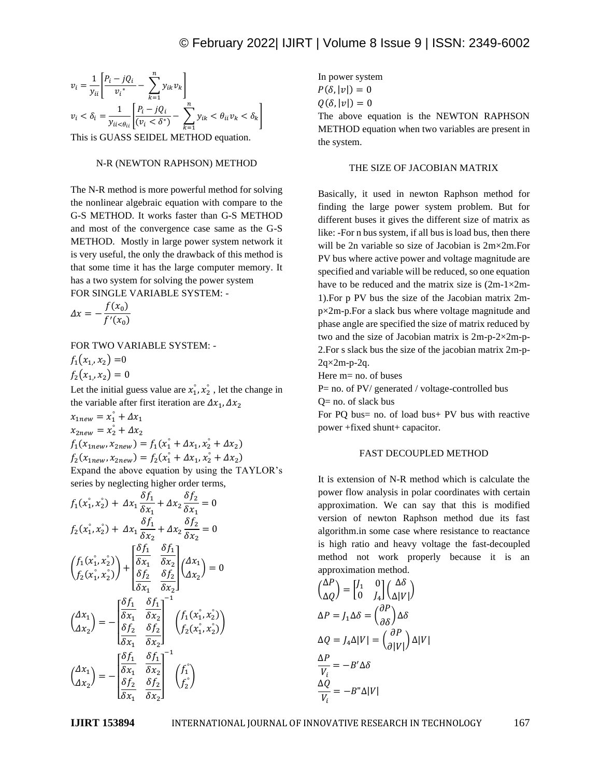$$
v_i = \frac{1}{y_{ii}} \left[ \frac{P_i - jQ_i}{v_i^*} - \sum_{k=1}^n y_{ik} v_k \right]
$$
  

$$
v_i < \delta_i = \frac{1}{y_{ii} < \theta_{ii}} \left[ \frac{P_i - jQ_i}{(v_i < \delta^*)} - \sum_{k=1}^n y_{ik} < \theta_{ii} v_k < \delta_k \right]
$$

This is GUASS SEIDEL METHOD equation.

#### N-R (NEWTON RAPHSON) METHOD

The N-R method is more powerful method for solving the nonlinear algebraic equation with compare to the G-S METHOD. It works faster than G-S METHOD and most of the convergence case same as the G-S METHOD. Mostly in large power system network it is very useful, the only the drawback of this method is that some time it has the large computer memory. It has a two system for solving the power system FOR SINGLE VARIABLE SYSTEM: -

$$
\Delta x = -\frac{f(x_0)}{f'(x_0)}
$$

FOR TWO VARIABLE SYSTEM: -

$$
f_1(x_1, x_2) = 0
$$
  

$$
f_2(x_1, x_2) = 0
$$

Let the initial guess value are  $x_1^{\circ}, x_2^{\circ}$ , let the change in the variable after first iteration are  $\Delta x_1$ ,  $\Delta x_2$ 

 $x_{1new} = x_1^{\circ} + \Delta x_1$  $x_{2new} = x_2^{\circ} + \Delta x_2$  $f_1(x_{1new}, x_{2new}) = f_1(x_1^{\circ} + \Delta x_1, x_2^{\circ} + \Delta x_2)$  $f_2(x_{1new}, x_{2new}) = f_2(x_1^{\circ} + \Delta x_1, x_2^{\circ} + \Delta x_2)$ Expand the above equation by using the TAYLOR's series by neglecting higher order terms,

$$
f_{1}(x_{1}^{2}, x_{2}^{2}) + \Delta x_{1} \frac{\delta f_{1}}{\delta x_{1}} + \Delta x_{2} \frac{\delta f_{2}}{\delta x_{1}} = 0
$$
  
\n
$$
f_{2}(x_{1}^{2}, x_{2}^{2}) + \Delta x_{1} \frac{\delta f_{1}}{\delta x_{2}} + \Delta x_{2} \frac{\delta f_{2}}{\delta x_{2}} = 0
$$
  
\n
$$
\left(f_{1}(x_{1}^{2}, x_{2}^{2})\right) + \left[\frac{\delta f_{1}}{\delta x_{1}} \frac{\delta f_{1}}{\delta x_{2}}\right] \left(\Delta x_{1}\right) = 0
$$
  
\n
$$
\left(f_{2}(x_{1}^{2}, x_{2}^{2})\right) + \left[\frac{\delta f_{2}}{\delta x_{1}} \frac{\delta f_{2}}{\delta x_{2}}\right] \left(\Delta x_{1}\right) = 0
$$
  
\n
$$
\left(\Delta x_{1}\right) = -\left[\frac{\delta f_{1}}{\delta x_{1}} \frac{\delta f_{1}}{\delta x_{2}}\right]^{-1} \left(f_{1}(x_{1}^{2}, x_{2}^{2})\right)
$$
  
\n
$$
\left(\Delta x_{2}\right) = -\left[\frac{\delta f_{1}}{\delta x_{1}} \frac{\delta f_{2}}{\delta x_{2}}\right]^{-1} \left(f_{2}(x_{1}^{2}, x_{2}^{2})\right)
$$
  
\n
$$
\left(\Delta x_{1}\right) = -\left[\frac{\delta f_{1}}{\delta x_{1}} \frac{\delta f_{1}}{\delta x_{2}}\right]^{-1} \left(f_{1}^{2}\right)
$$

In power system  $P(\delta, |v|) = 0$  $Q(\delta, |v|) = 0$ The above equation is the NEWTON RAPHSON METHOD equation when two variables are present in the system.

## THE SIZE OF JACOBIAN MATRIX

Basically, it used in newton Raphson method for finding the large power system problem. But for different buses it gives the different size of matrix as like: -For n bus system, if all bus is load bus, then there will be 2n variable so size of Jacobian is 2m×2m.For PV bus where active power and voltage magnitude are specified and variable will be reduced, so one equation have to be reduced and the matrix size is  $(2m-1\times2m-1)$ 1).For p PV bus the size of the Jacobian matrix 2mp×2m-p.For a slack bus where voltage magnitude and phase angle are specified the size of matrix reduced by two and the size of Jacobian matrix is 2m-p-2×2m-p-2.For s slack bus the size of the jacobian matrix 2m-p- $2q \times 2m-p-2q$ .

Here m= no. of buses

P= no. of PV/ generated / voltage-controlled bus

Q= no. of slack bus

For PQ bus= no. of load bus+ PV bus with reactive power +fixed shunt+ capacitor.

# FAST DECOUPLED METHOD

It is extension of N-R method which is calculate the power flow analysis in polar coordinates with certain approximation. We can say that this is modified version of newton Raphson method due its fast algorithm.in some case where resistance to reactance is high ratio and heavy voltage the fast-decoupled method not work properly because it is an approximation method.

$$
\begin{aligned}\n\begin{pmatrix}\n\Delta P \\
\Delta Q\n\end{pmatrix} &= \begin{bmatrix} J_1 & 0 \\
0 & J_4 \end{bmatrix} \begin{pmatrix} \Delta \delta \\
\Delta |V| \end{pmatrix} \\
\Delta P &= J_1 \Delta \delta = \begin{pmatrix} \partial P \\
\partial \delta \end{pmatrix} \Delta \delta \\
\Delta Q &= J_4 \Delta |V| = \begin{pmatrix} \partial P \\
\partial |V| \end{pmatrix} \Delta |V| \\
\frac{\Delta P}{V_i} &= -B' \Delta \delta \\
\frac{\Delta Q}{V_i} &= -B'' \Delta |V|\n\end{aligned}
$$